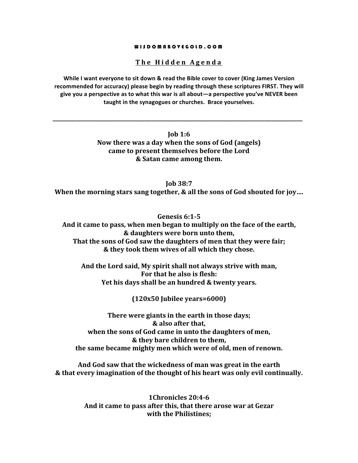#### WISDOMABOVEGOLD.COM

## The Hidden Agenda

While I want everyone to sit down & read the Bible cover to cover (King James Version recommended for accuracy) please begin by reading through these scriptures FIRST. They will give you a perspective as to what this war is all about—a perspective you've NEVER been taught in the synagogues or churches. Brace yourselves.

> $\mathbf{I}$ ob 1:6 Now there was a day when the sons of God (angels) came to present themselves before the Lord & Satan came among them.

**Iob 38:7** When the morning stars sang together, & all the sons of God shouted for joy....

Genesis 6:1-5 And it came to pass, when men began to multiply on the face of the earth, & daughters were born unto them, That the sons of God saw the daughters of men that they were fair; & they took them wives of all which they chose.

And the Lord said, My spirit shall not always strive with man, For that he also is flesh: Yet his days shall be an hundred & twenty years.

 $(120x50$  Jubilee years=6000)

There were giants in the earth in those days; & also after that. when the sons of God came in unto the daughters of men, & they bare children to them, the same became mighty men which were of old, men of renown.

And God saw that the wickedness of man was great in the earth & that every imagination of the thought of his heart was only evil continually.

> 1Chronicles 20:4-6 And it came to pass after this, that there arose war at Gezar with the Philistines: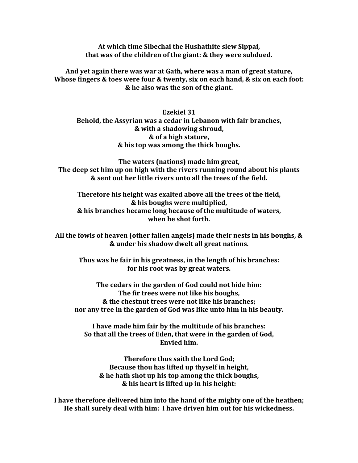At which time Sibechai the Hushathite slew Sippai, that was of the children of the giant: & they were subdued.

And yet again there was war at Gath, where was a man of great stature, Whose fingers & toes were four & twenty, six on each hand, & six on each foot: & he also was the son of the giant.

**Ezekiel 31** Behold, the Assyrian was a cedar in Lebanon with fair branches, & with a shadowing shroud, & of a high stature, & his top was among the thick boughs.

The waters (nations) made him great, The deep set him up on high with the rivers running round about his plants & sent out her little rivers unto all the trees of the field.

Therefore his height was exalted above all the trees of the field. & his boughs were multiplied, & his branches became long because of the multitude of waters, when he shot forth.

All the fowls of heaven (other fallen angels) made their nests in his boughs, & & under his shadow dwelt all great nations.

Thus was he fair in his greatness, in the length of his branches: for his root was by great waters.

The cedars in the garden of God could not hide him: The fir trees were not like his boughs. & the chestnut trees were not like his branches; nor any tree in the garden of God was like unto him in his beauty.

I have made him fair by the multitude of his branches: So that all the trees of Eden, that were in the garden of God, **Envied him.** 

Therefore thus saith the Lord God; Because thou has lifted up thyself in height, & he hath shot up his top among the thick boughs, & his heart is lifted up in his height:

I have therefore delivered him into the hand of the mighty one of the heathen; He shall surely deal with him: I have driven him out for his wickedness.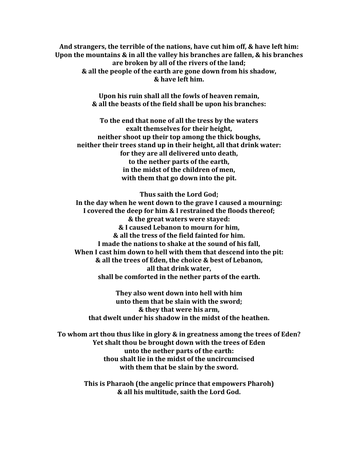And strangers, the terrible of the nations, have cut him off, & have left him: Upon the mountains & in all the valley his branches are fallen, & his branches are broken by all of the rivers of the land; & all the people of the earth are gone down from his shadow. & have left him.

> Upon his ruin shall all the fowls of heaven remain, & all the beasts of the field shall be upon his branches:

To the end that none of all the tress by the waters exalt themselves for their height, neither shoot up their top among the thick boughs. neither their trees stand up in their height, all that drink water: for they are all delivered unto death, to the nether parts of the earth, in the midst of the children of men, with them that go down into the pit.

Thus saith the Lord God;

In the day when he went down to the grave I caused a mourning: I covered the deep for him & I restrained the floods thereof; & the great waters were staved: & I caused Lebanon to mourn for him, & all the tress of the field fainted for him. I made the nations to shake at the sound of his fall, When I cast him down to hell with them that descend into the pit: & all the trees of Eden, the choice & best of Lebanon, all that drink water. shall be comforted in the nether parts of the earth.

They also went down into hell with him unto them that be slain with the sword; & they that were his arm, that dwelt under his shadow in the midst of the heathen.

To whom art thou thus like in glory & in greatness among the trees of Eden? Yet shalt thou be brought down with the trees of Eden unto the nether parts of the earth: thou shalt lie in the midst of the uncircumcised with them that be slain by the sword.

> This is Pharaoh (the angelic prince that empowers Pharoh) & all his multitude, saith the Lord God.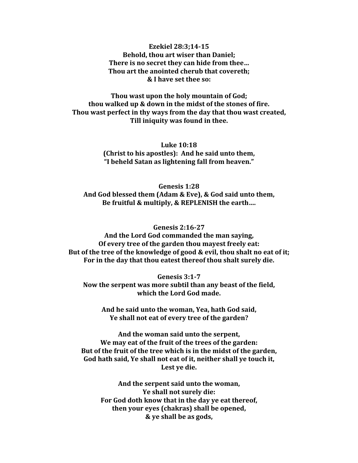### Ezekiel 28:3:14-15 **Behold, thou art wiser than Daniel;** There is no secret they can hide from thee... Thou art the anointed cherub that covereth; & I have set thee so:

Thou wast upon the holy mountain of God; thou walked up & down in the midst of the stones of fire. Thou wast perfect in thy ways from the day that thou wast created, Till iniquity was found in thee.

> **Luke 10:18** (Christ to his apostles): And he said unto them, "I beheld Satan as lightening fall from heaven."

Genesis 1:28 And God blessed them (Adam & Eve), & God said unto them, Be fruitful & multiply, & REPLENISH the earth....

**Genesis 2:16-27** 

And the Lord God commanded the man saying, Of every tree of the garden thou mayest freely eat: But of the tree of the knowledge of good & evil, thou shalt no eat of it; For in the day that thou eatest thereof thou shalt surely die.

Genesis 3:1-7

Now the serpent was more subtil than any beast of the field, which the Lord God made.

And he said unto the woman, Yea, hath God said, Ye shall not eat of every tree of the garden?

And the woman said unto the serpent, We may eat of the fruit of the trees of the garden: But of the fruit of the tree which is in the midst of the garden, God hath said, Ye shall not eat of it, neither shall ye touch it, Lest ye die.

And the serpent said unto the woman, Ye shall not surely die: For God doth know that in the day ye eat thereof, then your eyes (chakras) shall be opened, & ye shall be as gods,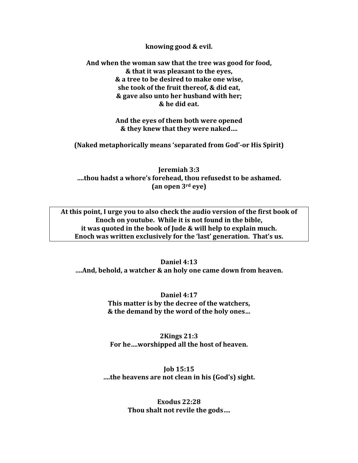knowing good & evil.

And when the woman saw that the tree was good for food,  $&$  that it was pleasant to the eyes,  $&$  a tree to be desired to make one wise, she took of the fruit thereof, & did eat.  $&$  gave also unto her husband with her;  $&$  he did eat.

> And the eyes of them both were opened  $&$  they knew that they were naked....

**(Naked metaphorically means 'separated from God'-or His Spirit)** 

**Jeremiah 3:3** ...thou hadst a whore's forehead, thou refusedst to be ashamed.  ${\tan\alpha}$  **p** and  $3^{\text{rd}}$  **eve**)

At this point, I urge you to also check the audio version of the first book of Enoch on youtube. While it is not found in the bible, it was quoted in the book of Jude & will help to explain much. Enoch was written exclusively for the 'last' generation. That's us.

**Daniel 4:13 ....And, behold, a watcher & an holy one came down from heaven.** 

> **Daniel 4:17** This matter is by the decree of the watchers,  $\&$  the demand by the word of the holy ones...

**2Kings\$21:3** For he…worshipped all the host of heaven.

**Job\$15:15** ...the heavens are not clean in his (God's) sight.

> **Exodus\$22:28** Thou shalt not revile the gods....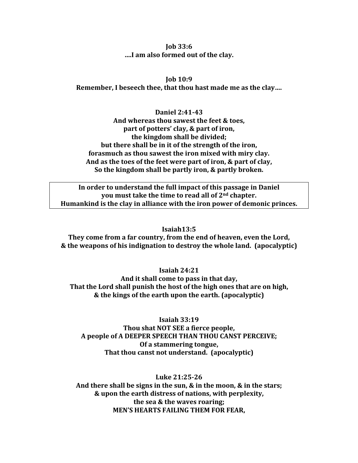## $\mathbf{I}$ ob 33:6 ....I am also formed out of the clay.

 $\mathbf{I}$ ob 10:9 Remember, I beseech thee, that thou hast made me as the clay....

Daniel 2:41-43 And whereas thou sawest the feet & toes, part of potters' clay, & part of iron, the kingdom shall be divided: but there shall be in it of the strength of the iron. forasmuch as thou sawest the iron mixed with miry clay. And as the toes of the feet were part of iron, & part of clay, So the kingdom shall be partly iron, & partly broken.

In order to understand the full impact of this passage in Daniel you must take the time to read all of 2<sup>nd</sup> chapter. Humankind is the clay in alliance with the iron power of demonic princes.

#### $Isaiah13:5$

They come from a far country, from the end of heaven, even the Lord, & the weapons of his indignation to destroy the whole land. (apocalyptic)

Isaiah  $24:21$ 

And it shall come to pass in that day, That the Lord shall punish the host of the high ones that are on high, & the kings of the earth upon the earth. (apocalyptic)

Isaiah  $33:19$ 

Thou shat NOT SEE a fierce people, A people of A DEEPER SPEECH THAN THOU CANST PERCEIVE; Of a stammering tongue, That thou canst not understand. (apocalyptic)

Luke 21:25-26

And there shall be signs in the sun,  $\&$  in the moon,  $\&$  in the stars; & upon the earth distress of nations, with perplexity, the sea & the waves roaring; **MEN'S HEARTS FAILING THEM FOR FEAR.**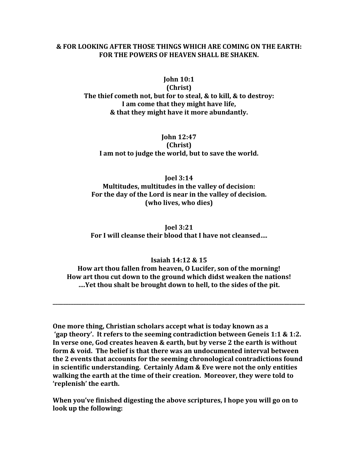### & FOR LOOKING AFTER THOSE THINGS WHICH ARE COMING ON THE EARTH: FOR THE POWERS OF HEAVEN SHALL BE SHAKEN.

#### **John 10:1**

(Christ)

The thief cometh not, but for to steal, & to kill, & to destroy: I am come that they might have life, & that they might have it more abundantly.

# **John 12:47** (Christ) I am not to judge the world, but to save the world.

# **Joel 3:14** Multitudes, multitudes in the valley of decision: For the day of the Lord is near in the valley of decision. (who lives, who dies)

**Joel 3:21** For I will cleanse their blood that I have not cleansed....

## Isaiah 14:12 & 15

How art thou fallen from heaven, O Lucifer, son of the morning! How art thou cut down to the ground which didst weaken the nations! ....Yet thou shalt be brought down to hell, to the sides of the pit.

One more thing, Christian scholars accept what is today known as a 'gap theory'. It refers to the seeming contradiction between Geneis 1:1 & 1:2. In verse one, God creates heaven & earth, but by verse 2 the earth is without form & void. The belief is that there was an undocumented interval between the 2 events that accounts for the seeming chronological contradictions found in scientific understanding. Certainly Adam & Eve were not the only entities walking the earth at the time of their creation. Moreover, they were told to 'replenish' the earth.

When you've finished digesting the above scriptures, I hope you will go on to look up the following: